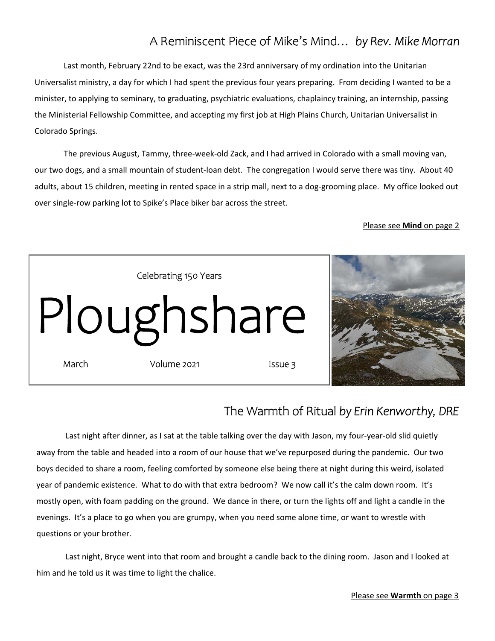# A Reminiscent Piece of Mike's Mind… *by Rev. Mike Morran*

Last month, February 22nd to be exact, was the 23rd anniversary of my ordination into the Unitarian Universalist ministry, a day for which I had spent the previous four years preparing. From deciding I wanted to be a minister, to applying to seminary, to graduating, psychiatric evaluations, chaplaincy training, an internship, passing the Ministerial Fellowship Committee, and accepting my first job at High Plains Church, Unitarian Universalist in Colorado Springs.

The previous August, Tammy, three‐week‐old Zack, and I had arrived in Colorado with a small moving van, our two dogs, and a small mountain of student‐loan debt. The congregation I would serve there was tiny. About 40 adults, about 15 children, meeting in rented space in a strip mall, next to a dog-grooming place. My office looked out over single‐row parking lot to Spike's Place biker bar across the street.

### Please see **Mind** on page 2



## The Warmth of Ritual *by Erin Kenworthy, DRE*

Last night after dinner, as I sat at the table talking over the day with Jason, my four‐year‐old slid quietly away from the table and headed into a room of our house that we've repurposed during the pandemic. Our two boys decided to share a room, feeling comforted by someone else being there at night during this weird, isolated year of pandemic existence. What to do with that extra bedroom? We now call it's the calm down room. It's mostly open, with foam padding on the ground. We dance in there, or turn the lights off and light a candle in the evenings. It's a place to go when you are grumpy, when you need some alone time, or want to wrestle with questions or your brother.

Last night, Bryce went into that room and brought a candle back to the dining room. Jason and I looked at him and he told us it was time to light the chalice.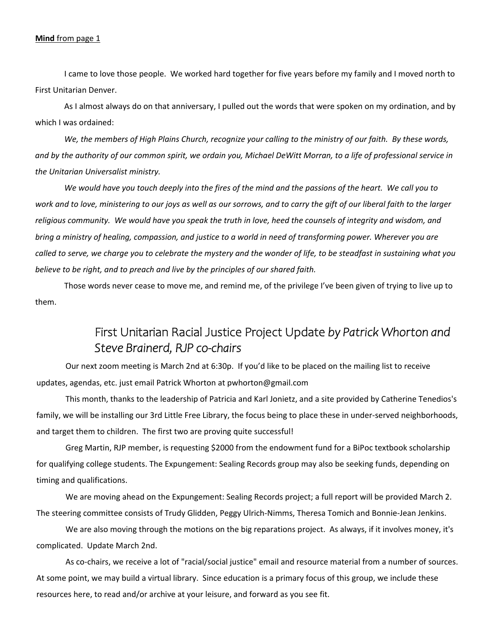### **Mind** from page 1

I came to love those people. We worked hard together for five years before my family and I moved north to First Unitarian Denver.

As I almost always do on that anniversary, I pulled out the words that were spoken on my ordination, and by which I was ordained:

*We, the members of High Plains Church, recognize your calling to the ministry of our faith. By these words, and by the authority of our common spirit, we ordain you, Michael DeWitt Morran, to a life of professional service in the Unitarian Universalist ministry.* 

*We would have you touch deeply into the fires of the mind and the passions of the heart. We call you to work and to love, ministering to our joys as well as our sorrows, and to carry the gift of our liberal faith to the larger religious community. We would have you speak the truth in love, heed the counsels of integrity and wisdom, and bring a ministry of healing, compassion, and justice to a world in need of transforming power. Wherever you are called to serve, we charge you to celebrate the mystery and the wonder of life, to be steadfast in sustaining what you believe to be right, and to preach and live by the principles of our shared faith.* 

Those words never cease to move me, and remind me, of the privilege I've been given of trying to live up to them.

## First Unitarian Racial Justice Project Update *by Patrick Whorton and Steve Brainerd, RJP co-chairs*

Our next zoom meeting is March 2nd at 6:30p. If you'd like to be placed on the mailing list to receive updates, agendas, etc. just email Patrick Whorton at pwhorton@gmail.com

This month, thanks to the leadership of Patricia and Karl Jonietz, and a site provided by Catherine Tenedios's family, we will be installing our 3rd Little Free Library, the focus being to place these in under-served neighborhoods, and target them to children. The first two are proving quite successful!

Greg Martin, RJP member, is requesting \$2000 from the endowment fund for a BiPoc textbook scholarship for qualifying college students. The Expungement: Sealing Records group may also be seeking funds, depending on timing and qualifications.

We are moving ahead on the Expungement: Sealing Records project; a full report will be provided March 2. The steering committee consists of Trudy Glidden, Peggy Ulrich‐Nimms, Theresa Tomich and Bonnie‐Jean Jenkins.

We are also moving through the motions on the big reparations project. As always, if it involves money, it's complicated. Update March 2nd.

As co-chairs, we receive a lot of "racial/social justice" email and resource material from a number of sources. At some point, we may build a virtual library. Since education is a primary focus of this group, we include these resources here, to read and/or archive at your leisure, and forward as you see fit.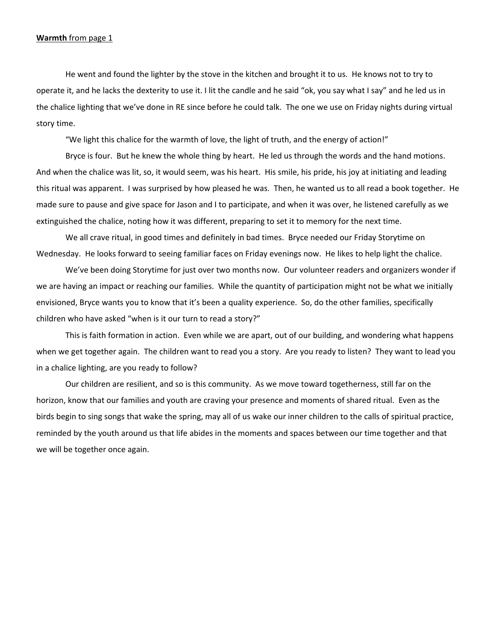#### **Warmth** from page 1

He went and found the lighter by the stove in the kitchen and brought it to us. He knows not to try to operate it, and he lacks the dexterity to use it. I lit the candle and he said "ok, you say what I say" and he led us in the chalice lighting that we've done in RE since before he could talk. The one we use on Friday nights during virtual story time.

"We light this chalice for the warmth of love, the light of truth, and the energy of action!"

Bryce is four. But he knew the whole thing by heart. He led us through the words and the hand motions. And when the chalice was lit, so, it would seem, was his heart. His smile, his pride, his joy at initiating and leading this ritual was apparent. I was surprised by how pleased he was. Then, he wanted us to all read a book together. He made sure to pause and give space for Jason and I to participate, and when it was over, he listened carefully as we extinguished the chalice, noting how it was different, preparing to set it to memory for the next time.

We all crave ritual, in good times and definitely in bad times. Bryce needed our Friday Storytime on Wednesday. He looks forward to seeing familiar faces on Friday evenings now. He likes to help light the chalice.

We've been doing Storytime for just over two months now. Our volunteer readers and organizers wonder if we are having an impact or reaching our families. While the quantity of participation might not be what we initially envisioned, Bryce wants you to know that it's been a quality experience. So, do the other families, specifically children who have asked "when is it our turn to read a story?"

This is faith formation in action. Even while we are apart, out of our building, and wondering what happens when we get together again. The children want to read you a story. Are you ready to listen? They want to lead you in a chalice lighting, are you ready to follow?

Our children are resilient, and so is this community. As we move toward togetherness, still far on the horizon, know that our families and youth are craving your presence and moments of shared ritual. Even as the birds begin to sing songs that wake the spring, may all of us wake our inner children to the calls of spiritual practice, reminded by the youth around us that life abides in the moments and spaces between our time together and that we will be together once again.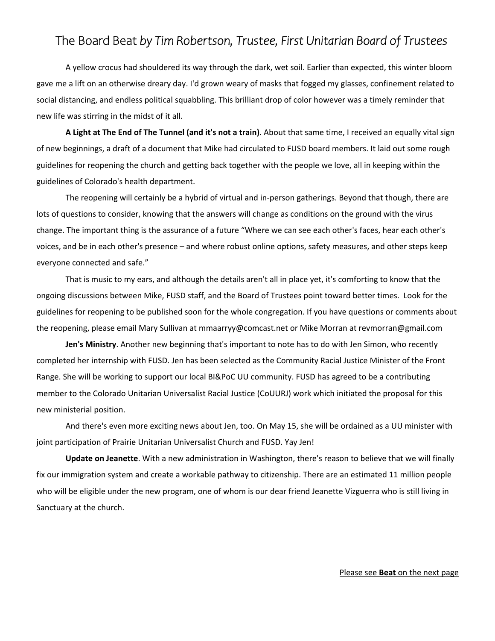### The Board Beat *by Tim Robertson, Trustee, First Unitarian Board of Trustees*

A yellow crocus had shouldered its way through the dark, wet soil. Earlier than expected, this winter bloom gave me a lift on an otherwise dreary day. I'd grown weary of masks that fogged my glasses, confinement related to social distancing, and endless political squabbling. This brilliant drop of color however was a timely reminder that new life was stirring in the midst of it all.

**A Light at The End of The Tunnel (and it's not a train)**. About that same time, I received an equally vital sign of new beginnings, a draft of a document that Mike had circulated to FUSD board members. It laid out some rough guidelines for reopening the church and getting back together with the people we love, all in keeping within the guidelines of Colorado's health department.

The reopening will certainly be a hybrid of virtual and in‐person gatherings. Beyond that though, there are lots of questions to consider, knowing that the answers will change as conditions on the ground with the virus change. The important thing is the assurance of a future "Where we can see each other's faces, hear each other's voices, and be in each other's presence – and where robust online options, safety measures, and other steps keep everyone connected and safe."

That is music to my ears, and although the details aren't all in place yet, it's comforting to know that the ongoing discussions between Mike, FUSD staff, and the Board of Trustees point toward better times. Look for the guidelines for reopening to be published soon for the whole congregation. If you have questions or comments about the reopening, please email Mary Sullivan at mmaarryy@comcast.net or Mike Morran at revmorran@gmail.com

**Jen's Ministry**. Another new beginning that's important to note has to do with Jen Simon, who recently completed her internship with FUSD. Jen has been selected as the Community Racial Justice Minister of the Front Range. She will be working to support our local BI&PoC UU community. FUSD has agreed to be a contributing member to the Colorado Unitarian Universalist Racial Justice (CoUURJ) work which initiated the proposal for this new ministerial position.

And there's even more exciting news about Jen, too. On May 15, she will be ordained as a UU minister with joint participation of Prairie Unitarian Universalist Church and FUSD. Yay Jen!

**Update on Jeanette**. With a new administration in Washington, there's reason to believe that we will finally fix our immigration system and create a workable pathway to citizenship. There are an estimated 11 million people who will be eligible under the new program, one of whom is our dear friend Jeanette Vizguerra who is still living in Sanctuary at the church.

#### Please see **Beat** on the next page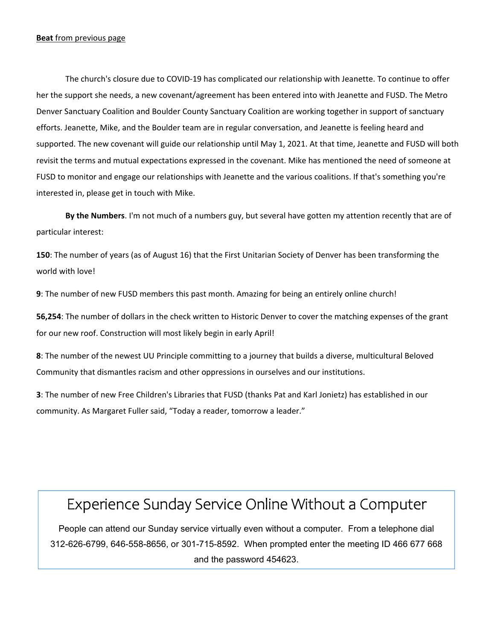### **Beat** from previous page

The church's closure due to COVID‐19 has complicated our relationship with Jeanette. To continue to offer her the support she needs, a new covenant/agreement has been entered into with Jeanette and FUSD. The Metro Denver Sanctuary Coalition and Boulder County Sanctuary Coalition are working together in support of sanctuary efforts. Jeanette, Mike, and the Boulder team are in regular conversation, and Jeanette is feeling heard and supported. The new covenant will guide our relationship until May 1, 2021. At that time, Jeanette and FUSD will both revisit the terms and mutual expectations expressed in the covenant. Mike has mentioned the need of someone at FUSD to monitor and engage our relationships with Jeanette and the various coalitions. If that's something you're interested in, please get in touch with Mike.

**By the Numbers**. I'm not much of a numbers guy, but several have gotten my attention recently that are of particular interest:

**150**: The number of years (as of August 16) that the First Unitarian Society of Denver has been transforming the world with love!

**9**: The number of new FUSD members this past month. Amazing for being an entirely online church!

**56,254**: The number of dollars in the check written to Historic Denver to cover the matching expenses of the grant for our new roof. Construction will most likely begin in early April!

**8**: The number of the newest UU Principle committing to a journey that builds a diverse, multicultural Beloved Community that dismantles racism and other oppressions in ourselves and our institutions.

**3**: The number of new Free Children's Libraries that FUSD (thanks Pat and Karl Jonietz) has established in our community. As Margaret Fuller said, "Today a reader, tomorrow a leader."

# Experience Sunday Service Online Without a Computer

People can attend our Sunday service virtually even without a computer. From a telephone dial 312-626-6799, 646-558-8656, or 301-715-8592. When prompted enter the meeting ID 466 677 668 and the password 454623.